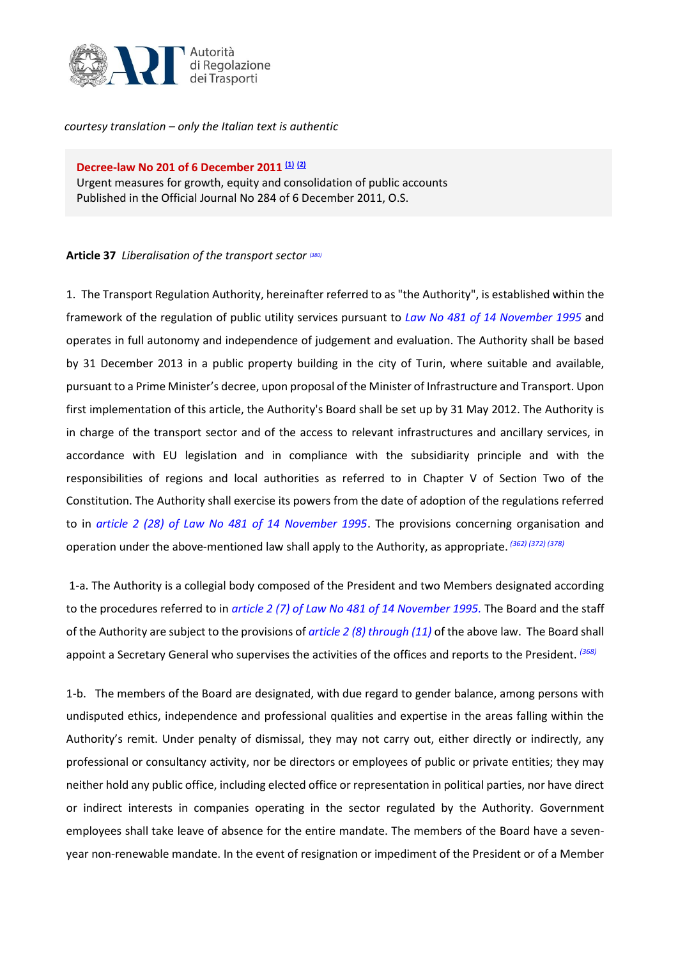

*courtesy translation – only the Italian text is authentic*

**Decree-law No 201 of 6 December 2011 [\(1\)](http://bd01.leggiditalia.it/cgi-bin/FulShow?NAVIPOS=1&DS_POS=1&KEY=01LX0000761503ART0&FT_CID=192450&OPERA=01#1) [\(2\)](http://bd01.leggiditalia.it/cgi-bin/FulShow?NAVIPOS=1&DS_POS=1&KEY=01LX0000761503ART0&FT_CID=192450&OPERA=01#2)** Urgent measures for growth, equity and consolidation of public accounts Published in the Official Journal No 284 of 6 December 2011, O.S.

## **Article 37** *Liberalisation of the transport sector (380)*

1. The Transport Regulation Authority, hereinafter referred to as "the Authority", is established within the framework of the regulation of public utility services pursuant to *[Law No 481 of 14 November 1995](http://bd01.leggiditalia.it/cgi-bin/FulShow?TIPO=5&NOTXT=1&KEY=01LX0000119862ART0)* and operates in full autonomy and independence of judgement and evaluation. The Authority shall be based by 31 December 2013 in a public property building in the city of Turin, where suitable and available, pursuant to a Prime Minister's decree, upon proposal of the Minister of Infrastructure and Transport. Upon first implementation of this article, the Authority's Board shall be set up by 31 May 2012. The Authority is in charge of the transport sector and of the access to relevant infrastructures and ancillary services, in accordance with EU legislation and in compliance with the subsidiarity principle and with the responsibilities of regions and local authorities as referred to in Chapter V of Section Two of the Constitution. The Authority shall exercise its powers from the date of adoption of the regulations referred to in *[article 2 \(28\) of Law No 481 of 14 November 1995](http://bd01.leggiditalia.it/cgi-bin/FulShow?TIPO=5&NOTXT=1&KEY=01LX0000119862ART2)*. The provisions concerning organisation and operation under the above-mentioned law shall apply to the Authority, as appropriate. *(362) (372) (378)*

1-a. The Authority is a collegial body composed of the President and two Members designated according to the procedures referred to in *[article 2 \(7\) of Law No 481 of 14 November 1995.](http://bd01.leggiditalia.it/cgi-bin/FulShow?TIPO=5&NOTXT=1&KEY=01LX0000119862ART2)* The Board and the staff of the Authority are subject to the provisions of *[article 2](http://bd01.leggiditalia.it/cgi-bin/FulShow?TIPO=5&NOTXT=1&KEY=01LX0000119862ART2) (8) through (11)* of the above law. The Board shall appoint a Secretary General who supervises the activities of the offices and reports to the President. *(368)*

1-b. The members of the Board are designated, with due regard to gender balance, among persons with undisputed ethics, independence and professional qualities and expertise in the areas falling within the Authority's remit. Under penalty of dismissal, they may not carry out, either directly or indirectly, any professional or consultancy activity, nor be directors or employees of public or private entities; they may neither hold any public office, including elected office or representation in political parties, nor have direct or indirect interests in companies operating in the sector regulated by the Authority. Government employees shall take leave of absence for the entire mandate. The members of the Board have a sevenyear non-renewable mandate. In the event of resignation or impediment of the President or of a Member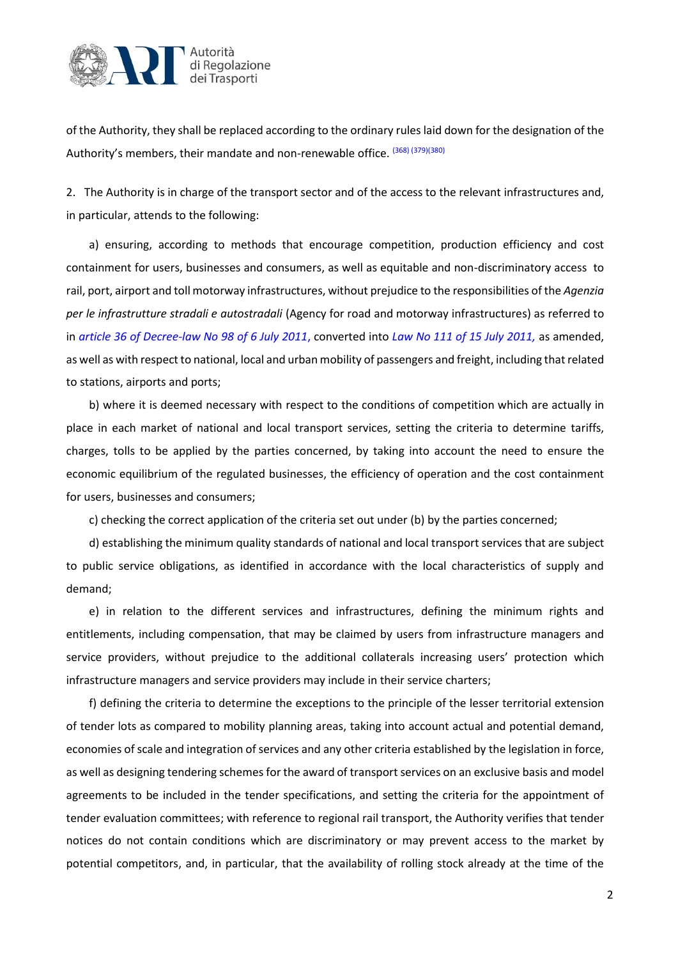

of the Authority, they shall be replaced according to the ordinary rules laid down for the designation of the Authority's members, their mandate and non-renewable office. (368) (379)(380)

2. The Authority is in charge of the transport sector and of the access to the relevant infrastructures and, in particular, attends to the following:

a) ensuring, according to methods that encourage competition, production efficiency and cost containment for users, businesses and consumers, as well as equitable and non-discriminatory access to rail, port, airport and toll motorway infrastructures, without prejudice to the responsibilities of the *Agenzia per le infrastrutture stradali e autostradali* (Agency for road and motorway infrastructures) as referred to in *[article 36 of Decree-law](http://bd01.leggiditalia.it/cgi-bin/FulShow?TIPO=5&NOTXT=1&KEY=01LX0000755134ART69) No 98 of 6 July 2011*, converted into *[Law No 111 of 15 July 2011,](http://bd01.leggiditalia.it/cgi-bin/FulShow?TIPO=5&NOTXT=1&KEY=01LX0000755664ART0)* as amended, as well as with respect to national, local and urban mobility of passengers and freight, including that related to stations, airports and ports;

b) where it is deemed necessary with respect to the conditions of competition which are actually in place in each market of national and local transport services, setting the criteria to determine tariffs, charges, tolls to be applied by the parties concerned, by taking into account the need to ensure the economic equilibrium of the regulated businesses, the efficiency of operation and the cost containment for users, businesses and consumers;

c) checking the correct application of the criteria set out under (b) by the parties concerned;

d) establishing the minimum quality standards of national and local transport services that are subject to public service obligations, as identified in accordance with the local characteristics of supply and demand;

e) in relation to the different services and infrastructures, defining the minimum rights and entitlements, including compensation, that may be claimed by users from infrastructure managers and service providers, without prejudice to the additional collaterals increasing users' protection which infrastructure managers and service providers may include in their service charters;

f) defining the criteria to determine the exceptions to the principle of the lesser territorial extension of tender lots as compared to mobility planning areas, taking into account actual and potential demand, economies of scale and integration of services and any other criteria established by the legislation in force, as well as designing tendering schemes for the award of transport services on an exclusive basis and model agreements to be included in the tender specifications, and setting the criteria for the appointment of tender evaluation committees; with reference to regional rail transport, the Authority verifies that tender notices do not contain conditions which are discriminatory or may prevent access to the market by potential competitors, and, in particular, that the availability of rolling stock already at the time of the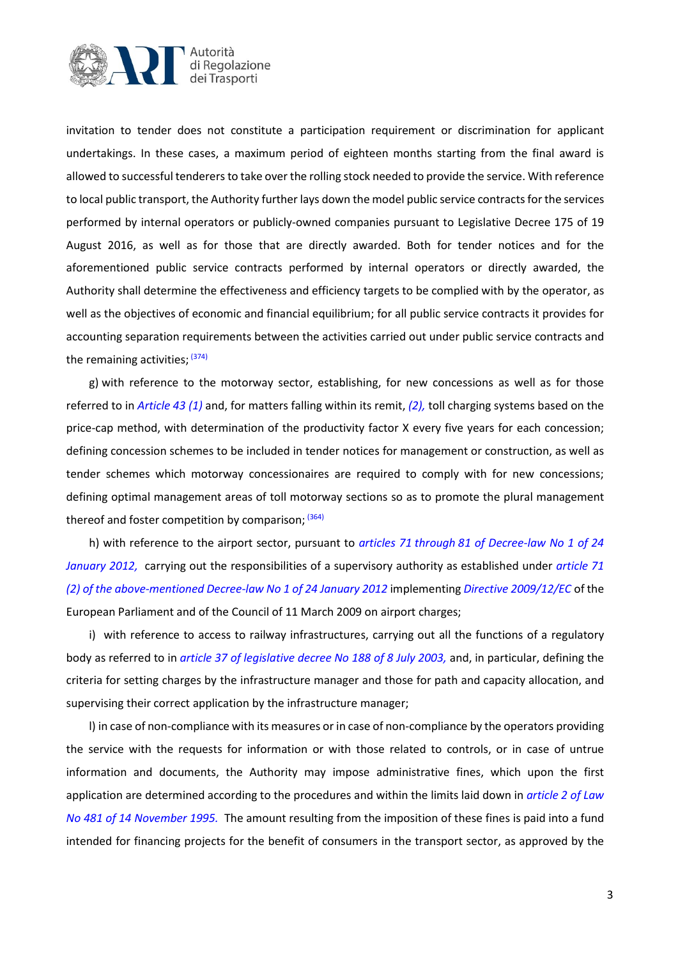

invitation to tender does not constitute a participation requirement or discrimination for applicant undertakings. In these cases, a maximum period of eighteen months starting from the final award is allowed to successful tenderersto take over the rolling stock needed to provide the service. With reference to local public transport, the Authority further lays down the model public service contracts for the services performed by internal operators or publicly-owned companies pursuant to Legislative Decree 175 of 19 August 2016, as well as for those that are directly awarded. Both for tender notices and for the aforementioned public service contracts performed by internal operators or directly awarded, the Authority shall determine the effectiveness and efficiency targets to be complied with by the operator, as well as the objectives of economic and financial equilibrium; for all public service contracts it provides for accounting separation requirements between the activities carried out under public service contracts and the remaining activities; <sup>(374)</sup>

g) with reference to the motorway sector, establishing, for new concessions as well as for those referred to in *[Article](http://bd01.leggiditalia.it/cgi-bin/FulShow?TIPO=5&NOTXT=1&KEY=01LX0000761503ART103) 43 [\(1\)](http://bd01.leggiditalia.it/cgi-bin/FulShow?TIPO=5&NOTXT=1&KEY=01LX0000761503ART103)* and, for matters falling within its remit, *(2),* toll charging systems based on the price-cap method, with determination of the productivity factor X every five years for each concession; defining concession schemes to be included in tender notices for management or construction, as well as tender schemes which motorway concessionaires are required to comply with for new concessions; defining optimal management areas of toll motorway sections so as to promote the plural management thereof and foster competition by comparison;  $(364)$ 

h) with reference to the airport sector, pursuant to *[articles 71](http://bd01.leggiditalia.it/cgi-bin/FulShow?TIPO=5&NOTXT=1&KEY=01LX0000763702ART131) through [81 of Decree-law](http://bd01.leggiditalia.it/cgi-bin/FulShow?TIPO=5&NOTXT=1&KEY=01LX0000763702ART141) No 1 of 24 January 2012,* [carrying out the responsibilities of a supervisory authority as established under](http://bd01.leggiditalia.it/cgi-bin/FulShow?TIPO=5&NOTXT=1&KEY=01LX0000763702ART141) *[article 71](http://bd01.leggiditalia.it/cgi-bin/FulShow?TIPO=5&NOTXT=1&KEY=01LX0000763702ART131)  (2) [of the above-mentioned Decree-law No 1 of 24 January 2012](http://bd01.leggiditalia.it/cgi-bin/FulShow?TIPO=5&NOTXT=1&KEY=01LX0000763702ART131)* implementing *[Directive 2009/12/EC](http://bd07.leggiditalia.it/cgi-bin/FulShow?TIPO=5&NOTXT=1&KEY=07LX0000641086)* of the European Parliament and of the Council of 11 March 2009 on airport charges;

i) with reference to access to railway infrastructures, carrying out all the functions of a regulatory body as referred to in *[article 37 of legislative decree No 188 of 8 July 2003,](http://bd01.leggiditalia.it/cgi-bin/FulShow?TIPO=5&NOTXT=1&KEY=01LX0000156794ART38)* and, in particular, defining the criteria for setting charges by the infrastructure manager and those for path and capacity allocation, and supervising their correct application by the infrastructure manager;

l) in case of non-compliance with its measures or in case of non-compliance by the operators providing the service with the requests for information or with those related to controls, or in case of untrue information and documents, the Authority may impose administrative fines, which upon the first application are determined according to the procedures and within the limits laid down in *[article 2 of Law](http://bd01.leggiditalia.it/cgi-bin/FulShow?TIPO=5&NOTXT=1&KEY=01LX0000119862ART2) [No 481 of 14 November 1995.](http://bd01.leggiditalia.it/cgi-bin/FulShow?TIPO=5&NOTXT=1&KEY=01LX0000119862ART2)* The amount resulting from the imposition of these fines is paid into a fund intended for financing projects for the benefit of consumers in the transport sector, as approved by the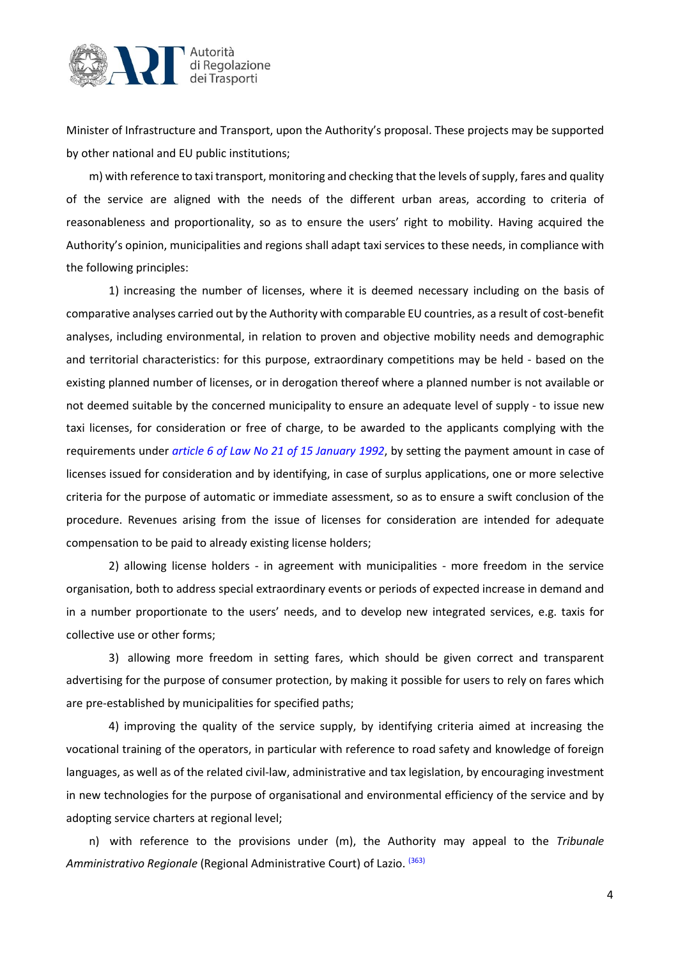

Minister of Infrastructure and Transport, upon the Authority's proposal. These projects may be supported by other national and EU public institutions;

m) with reference to taxi transport, monitoring and checking that the levels of supply, fares and quality of the service are aligned with the needs of the different urban areas, according to criteria of reasonableness and proportionality, so as to ensure the users' right to mobility. Having acquired the Authority's opinion, municipalities and regions shall adapt taxi services to these needs, in compliance with the following principles:

1) increasing the number of licenses, where it is deemed necessary including on the basis of comparative analyses carried out by the Authority with comparable EU countries, as a result of cost-benefit analyses, including environmental, in relation to proven and objective mobility needs and demographic and territorial characteristics: for this purpose, extraordinary competitions may be held - based on the existing planned number of licenses, or in derogation thereof where a planned number is not available or not deemed suitable by the concerned municipality to ensure an adequate level of supply - to issue new taxi licenses, for consideration or free of charge, to be awarded to the applicants complying with the requirements under *[article 6 of Law No 21 of 15 January 1](http://bd01.leggiditalia.it/cgi-bin/FulShow?TIPO=5&NOTXT=1&KEY=01LX0000122203ART6)992*, by setting the payment amount in case of licenses issued for consideration and by identifying, in case of surplus applications, one or more selective criteria for the purpose of automatic or immediate assessment, so as to ensure a swift conclusion of the procedure. Revenues arising from the issue of licenses for consideration are intended for adequate compensation to be paid to already existing license holders;

2) allowing license holders - in agreement with municipalities - more freedom in the service organisation, both to address special extraordinary events or periods of expected increase in demand and in a number proportionate to the users' needs, and to develop new integrated services, e.g. taxis for collective use or other forms;

3) allowing more freedom in setting fares, which should be given correct and transparent advertising for the purpose of consumer protection, by making it possible for users to rely on fares which are pre-established by municipalities for specified paths;

4) improving the quality of the service supply, by identifying criteria aimed at increasing the vocational training of the operators, in particular with reference to road safety and knowledge of foreign languages, as well as of the related civil-law, administrative and tax legislation, by encouraging investment in new technologies for the purpose of organisational and environmental efficiency of the service and by adopting service charters at regional level;

n) with reference to the provisions under (m), the Authority may appeal to the *Tribunale Amministrativo Regionale* (Regional Administrative Court) of Lazio. (363)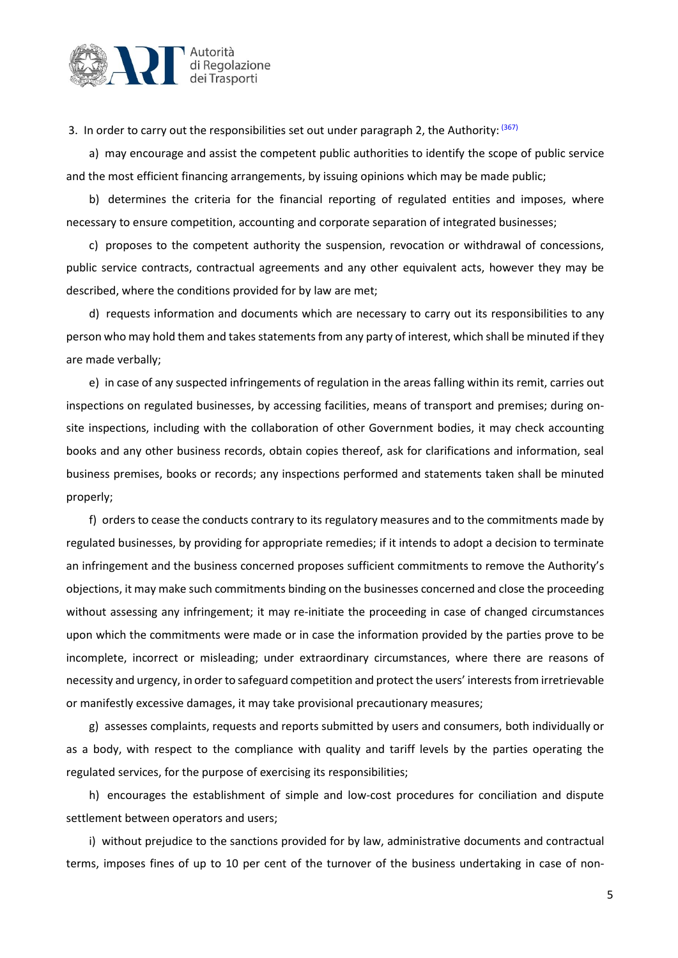

3. In order to carry out the responsibilities set out under paragraph 2, the Authority: <sup>(367)</sup>

a) may encourage and assist the competent public authorities to identify the scope of public service and the most efficient financing arrangements, by issuing opinions which may be made public;

b) determines the criteria for the financial reporting of regulated entities and imposes, where necessary to ensure competition, accounting and corporate separation of integrated businesses;

c) proposes to the competent authority the suspension, revocation or withdrawal of concessions, public service contracts, contractual agreements and any other equivalent acts, however they may be described, where the conditions provided for by law are met;

d) requests information and documents which are necessary to carry out its responsibilities to any person who may hold them and takes statements from any party of interest, which shall be minuted if they are made verbally;

e) in case of any suspected infringements of regulation in the areas falling within its remit, carries out inspections on regulated businesses, by accessing facilities, means of transport and premises; during onsite inspections, including with the collaboration of other Government bodies, it may check accounting books and any other business records, obtain copies thereof, ask for clarifications and information, seal business premises, books or records; any inspections performed and statements taken shall be minuted properly;

f) orders to cease the conducts contrary to its regulatory measures and to the commitments made by regulated businesses, by providing for appropriate remedies; if it intends to adopt a decision to terminate an infringement and the business concerned proposes sufficient commitments to remove the Authority's objections, it may make such commitments binding on the businesses concerned and close the proceeding without assessing any infringement; it may re-initiate the proceeding in case of changed circumstances upon which the commitments were made or in case the information provided by the parties prove to be incomplete, incorrect or misleading; under extraordinary circumstances, where there are reasons of necessity and urgency, in order to safeguard competition and protect the users' interests from irretrievable or manifestly excessive damages, it may take provisional precautionary measures;

g) assesses complaints, requests and reports submitted by users and consumers, both individually or as a body, with respect to the compliance with quality and tariff levels by the parties operating the regulated services, for the purpose of exercising its responsibilities;

h) encourages the establishment of simple and low-cost procedures for conciliation and dispute settlement between operators and users;

i) without prejudice to the sanctions provided for by law, administrative documents and contractual terms, imposes fines of up to 10 per cent of the turnover of the business undertaking in case of non-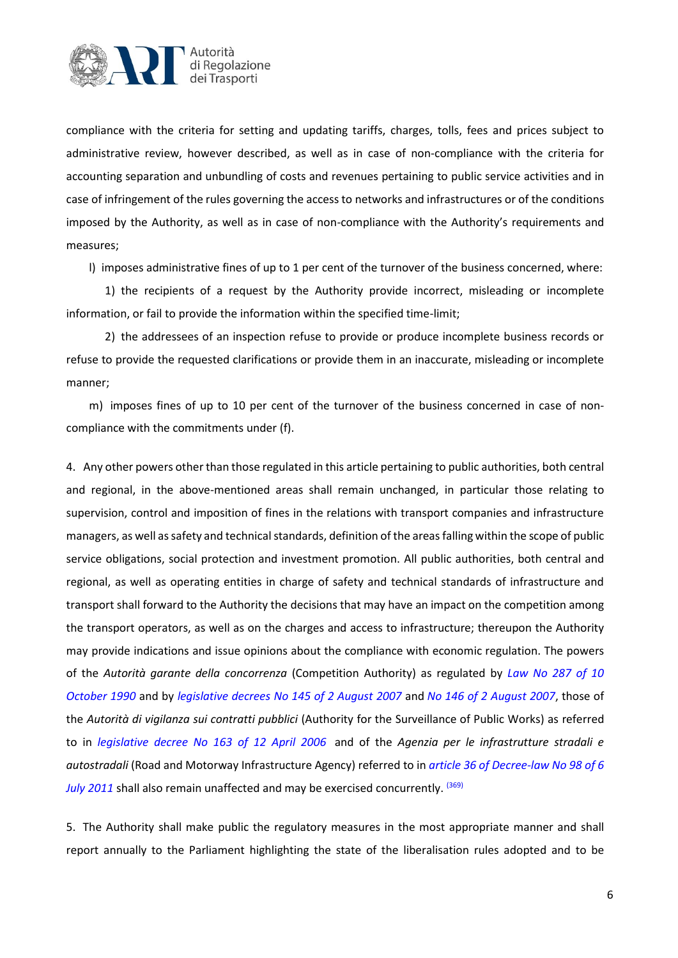

compliance with the criteria for setting and updating tariffs, charges, tolls, fees and prices subject to administrative review, however described, as well as in case of non-compliance with the criteria for accounting separation and unbundling of costs and revenues pertaining to public service activities and in case of infringement of the rules governing the access to networks and infrastructures or of the conditions imposed by the Authority, as well as in case of non-compliance with the Authority's requirements and measures;

l) imposes administrative fines of up to 1 per cent of the turnover of the business concerned, where:

1) the recipients of a request by the Authority provide incorrect, misleading or incomplete information, or fail to provide the information within the specified time-limit;

2) the addressees of an inspection refuse to provide or produce incomplete business records or refuse to provide the requested clarifications or provide them in an inaccurate, misleading or incomplete manner;

m) imposes fines of up to 10 per cent of the turnover of the business concerned in case of noncompliance with the commitments under (f).

4. Any other powers other than those regulated in this article pertaining to public authorities, both central and regional, in the above-mentioned areas shall remain unchanged, in particular those relating to supervision, control and imposition of fines in the relations with transport companies and infrastructure managers, as well as safety and technical standards, definition of the areas falling within the scope of public service obligations, social protection and investment promotion. All public authorities, both central and regional, as well as operating entities in charge of safety and technical standards of infrastructure and transport shall forward to the Authority the decisions that may have an impact on the competition among the transport operators, as well as on the charges and access to infrastructure; thereupon the Authority may provide indications and issue opinions about the compliance with economic regulation. The powers of the *Autorità garante della concorrenza* (Competition Authority) as regulated by *Law [No 287 of 10](http://bd01.leggiditalia.it/cgi-bin/FulShow?TIPO=5&NOTXT=1&KEY=01LX0000119865ART0)  [October 1990](http://bd01.leggiditalia.it/cgi-bin/FulShow?TIPO=5&NOTXT=1&KEY=01LX0000119865ART0)* and by *[legislative decrees No 145](http://bd01.leggiditalia.it/cgi-bin/FulShow?TIPO=5&NOTXT=1&KEY=01LX0000499396ART0) of 2 August 2007* and *No [146 of 2 August 2007](http://bd01.leggiditalia.it/cgi-bin/FulShow?TIPO=5&NOTXT=1&KEY=01LX0000499393ART0)*, those of the *Autorità di vigilanza sui contratti pubblici* (Authority for the Surveillance of Public Works) as referred to in *[legislative decree No 163 of 12 April 2006](http://bd01.leggiditalia.it/cgi-bin/FulShow?TIPO=5&NOTXT=1&KEY=01LX0000401301ART0)* and of the *Agenzia per le infrastrutture stradali e autostradali* (Road and Motorway Infrastructure Agency) referred to in *[article 36 of Decree-law](http://bd01.leggiditalia.it/cgi-bin/FulShow?TIPO=5&NOTXT=1&KEY=01LX0000755134ART69) No 98 of 6 [July 2011](http://bd01.leggiditalia.it/cgi-bin/FulShow?TIPO=5&NOTXT=1&KEY=01LX0000755134ART69)* shall also remain unaffected and may be exercised concurrently. (369)

5. The Authority shall make public the regulatory measures in the most appropriate manner and shall report annually to the Parliament highlighting the state of the liberalisation rules adopted and to be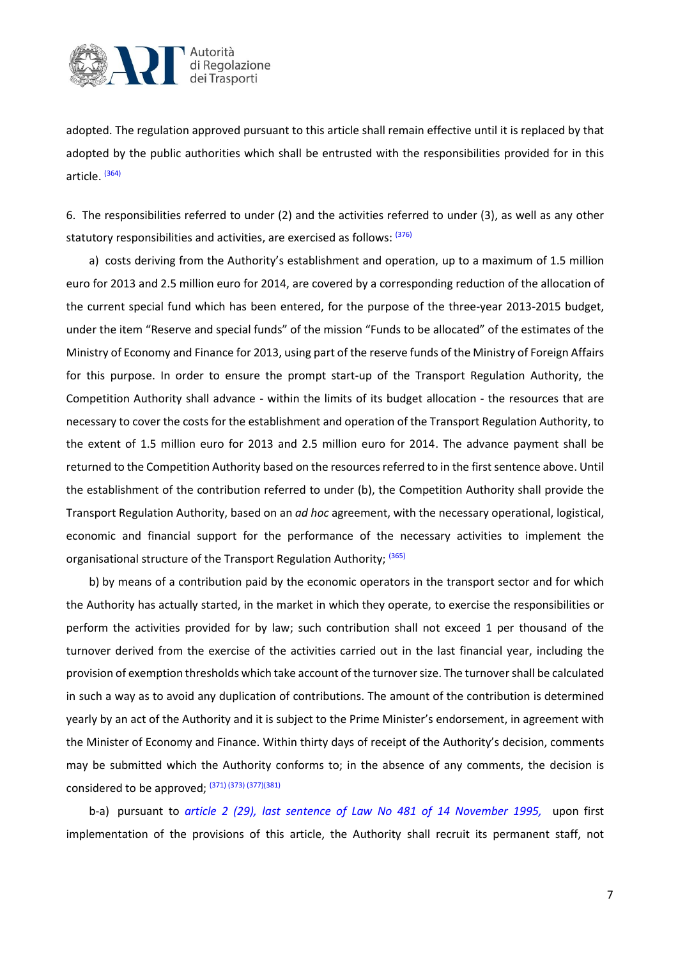

adopted. The regulation approved pursuant to this article shall remain effective until it is replaced by that adopted by the public authorities which shall be entrusted with the responsibilities provided for in this article. <sup>(364)</sup>

6. The responsibilities referred to under (2) and the activities referred to under (3), as well as any other statutory responsibilities and activities, are exercised as follows: (376)

a) costs deriving from the Authority's establishment and operation, up to a maximum of 1.5 million euro for 2013 and 2.5 million euro for 2014, are covered by a corresponding reduction of the allocation of the current special fund which has been entered, for the purpose of the three-year 2013-2015 budget, under the item "Reserve and special funds" of the mission "Funds to be allocated" of the estimates of the Ministry of Economy and Finance for 2013, using part of the reserve funds of the Ministry of Foreign Affairs for this purpose. In order to ensure the prompt start-up of the Transport Regulation Authority, the Competition Authority shall advance - within the limits of its budget allocation - the resources that are necessary to cover the costs for the establishment and operation of the Transport Regulation Authority, to the extent of 1.5 million euro for 2013 and 2.5 million euro for 2014. The advance payment shall be returned to the Competition Authority based on the resources referred to in the first sentence above. Until the establishment of the contribution referred to under (b), the Competition Authority shall provide the Transport Regulation Authority, based on an *ad hoc* agreement, with the necessary operational, logistical, economic and financial support for the performance of the necessary activities to implement the organisational structure of the Transport Regulation Authority; (365)

b) by means of a contribution paid by the economic operators in the transport sector and for which the Authority has actually started, in the market in which they operate, to exercise the responsibilities or perform the activities provided for by law; such contribution shall not exceed 1 per thousand of the turnover derived from the exercise of the activities carried out in the last financial year, including the provision of exemption thresholds which take account of the turnover size. The turnover shall be calculated in such a way as to avoid any duplication of contributions. The amount of the contribution is determined yearly by an act of the Authority and it is subject to the Prime Minister's endorsement, in agreement with the Minister of Economy and Finance. Within thirty days of receipt of the Authority's decision, comments may be submitted which the Authority conforms to; in the absence of any comments, the decision is considered to be approved; <sup>(371) (373) (377)(381)</sup>

b-a) pursuant to *article 2 [\(29\), last sentence of Law No 481 of 14 November](http://bd01.leggiditalia.it/cgi-bin/FulShow?TIPO=5&NOTXT=1&KEY=01LX0000119862ART2) 1995,* upon first implementation of the provisions of this article, the Authority shall recruit its permanent staff, not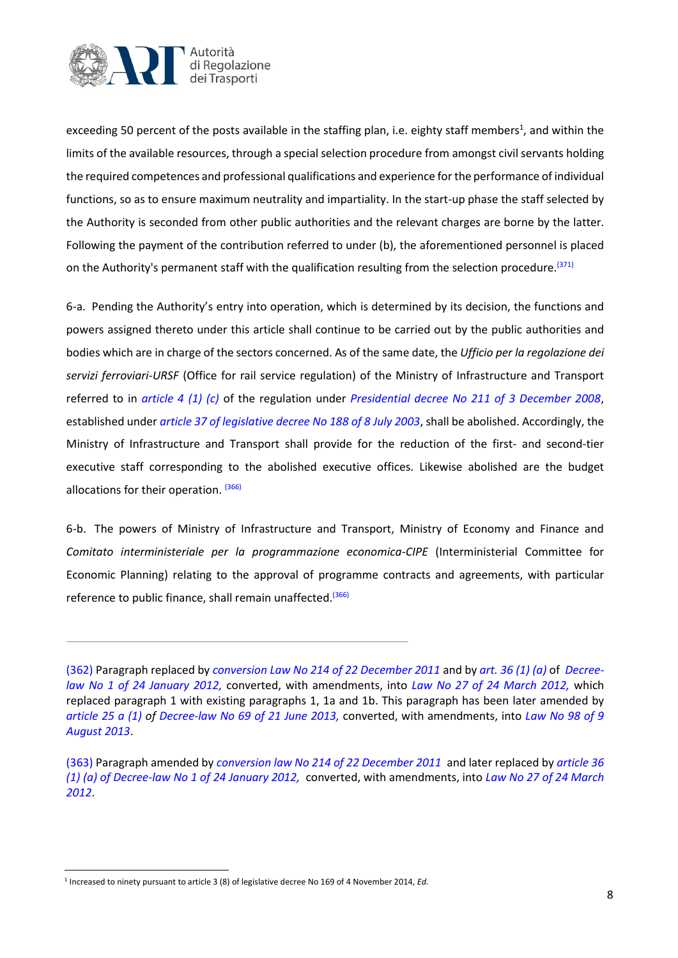

exceeding 50 percent of the posts available in the staffing plan, i.e. eighty staff members<sup>1</sup>, and within the limits of the available resources, through a special selection procedure from amongst civil servants holding the required competences and professional qualifications and experience for the performance of individual functions, so as to ensure maximum neutrality and impartiality. In the start-up phase the staff selected by the Authority is seconded from other public authorities and the relevant charges are borne by the latter. Following the payment of the contribution referred to under (b), the aforementioned personnel is placed on the Authority's permanent staff with the qualification resulting from the selection procedure.<sup>(371)</sup>

6-a. Pending the Authority's entry into operation, which is determined by its decision, the functions and powers assigned thereto under this article shall continue to be carried out by the public authorities and bodies which are in charge of the sectors concerned. As of the same date, the *Ufficio per la regolazione dei servizi ferroviari-URSF* (Office for rail service regulation) of the Ministry of Infrastructure and Transport referred to in *[article 4](http://bd01.leggiditalia.it/cgi-bin/FulShow?TIPO=5&NOTXT=1&KEY=01LX0000637854ART23) (1) (c)* of the regulation under *[Presidential decree No 211 of 3 December 2008](http://bd01.leggiditalia.it/cgi-bin/FulShow?TIPO=5&NOTXT=1&KEY=01LX0000637854ART0)*, established under *[article 37 of legislative decree No 188 of 8 July 2003](http://bd01.leggiditalia.it/cgi-bin/FulShow?TIPO=5&NOTXT=1&KEY=01LX0000156794ART38)*, shall be abolished. Accordingly, the Ministry of Infrastructure and Transport shall provide for the reduction of the first- and second-tier executive staff corresponding to the abolished executive offices. Likewise abolished are the budget allocations for their operation. <sup>(366)</sup>

6-b. The powers of Ministry of Infrastructure and Transport, Ministry of Economy and Finance and *Comitato interministeriale per la programmazione economica-CIPE* (Interministerial Committee for Economic Planning) relating to the approval of programme contracts and agreements, with particular reference to public finance, shall remain unaffected.<sup>(366)</sup>

[<sup>\(362\)</sup>](http://bd01.leggiditalia.it/cgi-bin/FulShow?NAVIPOS=1&DS_POS=0&KEY=01LX0000761503ART91&FT_CID=178845&OPERA=01#337up) Paragraph replaced by *conversion Law [No 214 of 22 December 2011](http://bd01.leggiditalia.it/cgi-bin/FulShow?TIPO=5&NOTXT=1&KEY=01LX0000762339ART14)* and by *[art. 36 \(1\) \(a\)](http://bd01.leggiditalia.it/cgi-bin/FulShow?TIPO=5&NOTXT=1&KEY=01LX0000763702ART72)* of *Decreelaw [No 1 of 24 January 2012,](http://bd01.leggiditalia.it/cgi-bin/FulShow?TIPO=5&NOTXT=1&KEY=01LX0000763702ART72)* converted, with amendments, into *Law [No 27 of 24 March 2012,](http://bd01.leggiditalia.it/cgi-bin/FulShow?TIPO=5&NOTXT=1&KEY=01LX0000766766ART0)* which replaced paragraph 1 with existing paragraphs 1, 1a and 1b. This paragraph has been later amended by *article 25 a (1) of Decree-law [No 69 of 21 June 2013,](http://bd01.leggiditalia.it/cgi-bin/FulShow?TIPO=5&NOTXT=1&KEY=01LX0000786255ART75)* converted, with amendments, into *Law [No 98 of 9](http://bd01.leggiditalia.it/cgi-bin/FulShow?TIPO=5&NOTXT=1&KEY=01LX0000788677ART0)  [August 2013](http://bd01.leggiditalia.it/cgi-bin/FulShow?TIPO=5&NOTXT=1&KEY=01LX0000788677ART0)*.

[<sup>\(363\)</sup>](http://bd01.leggiditalia.it/cgi-bin/FulShow?NAVIPOS=1&DS_POS=0&KEY=01LX0000761503ART91&FT_CID=178845&OPERA=01#338up) Paragraph amended by *conversion law [No 214 of 22 December 2011](http://bd01.leggiditalia.it/cgi-bin/FulShow?TIPO=5&NOTXT=1&KEY=01LX0000762339ART14)* and later replaced by *[article 36](http://bd01.leggiditalia.it/cgi-bin/FulShow?TIPO=5&NOTXT=1&KEY=01LX0000763702ART72)  (1) (a) of Decree-law [No 1 of 24 January 2012,](http://bd01.leggiditalia.it/cgi-bin/FulShow?TIPO=5&NOTXT=1&KEY=01LX0000763702ART72)* converted, with amendments, into *Law [No 27 of 24 March](http://bd01.leggiditalia.it/cgi-bin/FulShow?TIPO=5&NOTXT=1&KEY=01LX0000766766ART0)  [2012](http://bd01.leggiditalia.it/cgi-bin/FulShow?TIPO=5&NOTXT=1&KEY=01LX0000766766ART0)*.

<sup>1</sup> Increased to ninety pursuant to article 3 (8) of legislative decree No 169 of 4 November 2014, *Ed.*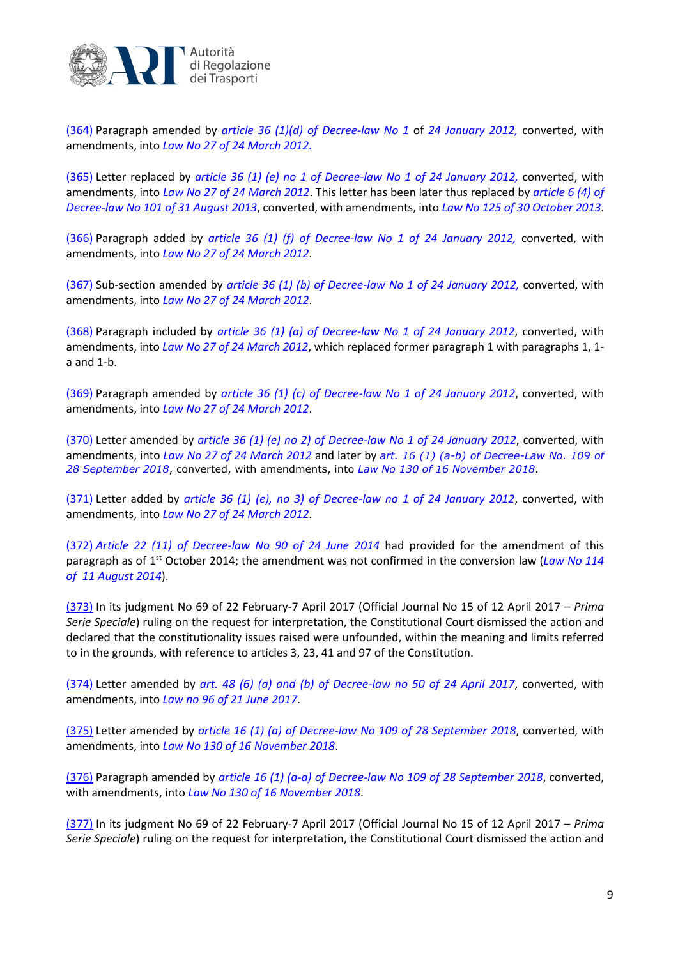

[\(364\)](http://bd01.leggiditalia.it/cgi-bin/FulShow?NAVIPOS=1&DS_POS=0&KEY=01LX0000761503ART91&FT_CID=178845&OPERA=01#339up) Paragraph amended by *[article 36 \(1\)\(d\) of](http://bd01.leggiditalia.it/cgi-bin/FulShow?TIPO=5&NOTXT=1&KEY=01LX0000763702ART72) Decree-law No 1* of *24 January 2012,* converted, with amendments, into *[Law No 27 of 24 March 2012.](http://bd01.leggiditalia.it/cgi-bin/FulShow?TIPO=5&NOTXT=1&KEY=01LX0000766766ART0)*

[\(365\)](http://bd01.leggiditalia.it/cgi-bin/FulShow?NAVIPOS=1&DS_POS=0&KEY=01LX0000761503ART91&FT_CID=178845&OPERA=01#340up) Letter replaced by *article 36 (1) (e) no 1 of Decree-law No 1 of [24 January 2012,](http://bd01.leggiditalia.it/cgi-bin/FulShow?TIPO=5&NOTXT=1&KEY=01LX0000763702ART72)* converted, with amendments, into *Law No 27 of [24 March](http://bd01.leggiditalia.it/cgi-bin/FulShow?TIPO=5&NOTXT=1&KEY=01LX0000766766ART0) 2012*. This letter has been later thus replaced by *[article](http://bd01.leggiditalia.it/cgi-bin/FulShow?TIPO=5&NOTXT=1&KEY=01LX0000789140ART18) 6 (4) of Decree-law [No 101 of 31 August 2013](http://bd01.leggiditalia.it/cgi-bin/FulShow?TIPO=5&NOTXT=1&KEY=01LX0000789140ART18)*, converted, with amendments, into *Law [No 125 of 30 October 2013](http://bd01.leggiditalia.it/cgi-bin/FulShow?TIPO=5&NOTXT=1&KEY=01LX0000791260ART0)*.

[\(366\)](http://bd01.leggiditalia.it/cgi-bin/FulShow?NAVIPOS=1&DS_POS=0&KEY=01LX0000761503ART91&FT_CID=178845&OPERA=01#341up) Paragraph added by *article 36 (1) (f) of Decree-law [No 1 of 24 January 2012,](http://bd01.leggiditalia.it/cgi-bin/FulShow?TIPO=5&NOTXT=1&KEY=01LX0000763702ART72)* converted, with amendments, into *Law [No 27 of 24 March 2012](http://bd01.leggiditalia.it/cgi-bin/FulShow?TIPO=5&NOTXT=1&KEY=01LX0000766766ART0)*.

[\(367\)](http://bd01.leggiditalia.it/cgi-bin/FulShow?NAVIPOS=1&DS_POS=0&KEY=01LX0000761503ART91&FT_CID=178845&OPERA=01#342up) Sub-section amended by *article 36 (1) (b) of Decree-law [No 1 of 24 January](http://bd01.leggiditalia.it/cgi-bin/FulShow?TIPO=5&NOTXT=1&KEY=01LX0000763702ART72) 2012,* converted, with amendments, into *Law [No 27 of 24 March](http://bd01.leggiditalia.it/cgi-bin/FulShow?TIPO=5&NOTXT=1&KEY=01LX0000766766ART0) 2012*.

[\(368\)](http://bd01.leggiditalia.it/cgi-bin/FulShow?NAVIPOS=1&DS_POS=0&KEY=01LX0000761503ART91&FT_CID=178845&OPERA=01#343up) Paragraph included by *article 36 (1) (a) of Decree-law No 1 of 24 January 2012*, converted, with amendments, into *Law No 27 of [24 March 2012](http://bd01.leggiditalia.it/cgi-bin/FulShow?TIPO=5&NOTXT=1&KEY=01LX0000766766ART0)*, which replaced former paragraph 1 with paragraphs 1, 1 a and 1-b.

[\(369\)](http://bd01.leggiditalia.it/cgi-bin/FulShow?NAVIPOS=1&DS_POS=0&KEY=01LX0000761503ART91&FT_CID=178845&OPERA=01#344up) Paragraph amended by *article 36 (1) (c) of Decree-law [No 1 of 24 January 2012](http://bd01.leggiditalia.it/cgi-bin/FulShow?TIPO=5&NOTXT=1&KEY=01LX0000763702ART72)*, converted, with amendments, into *Law [No 27 of 24 March 2012](http://bd01.leggiditalia.it/cgi-bin/FulShow?TIPO=5&NOTXT=1&KEY=01LX0000766766ART0)*.

[\(370\)](http://bd01.leggiditalia.it/cgi-bin/FulShow?NAVIPOS=1&DS_POS=0&KEY=01LX0000761503ART91&FT_CID=178845&OPERA=01#345up) Letter amended by *article 36 (1) (e) no 2) of Decree-law [No 1 of 24 January](http://bd01.leggiditalia.it/cgi-bin/FulShow?TIPO=5&NOTXT=1&KEY=01LX0000763702ART72) 2012*, converted, with amendments, into *Law [No 27 of 24 March 2012](http://bd01.leggiditalia.it/cgi-bin/FulShow?TIPO=5&NOTXT=1&KEY=01LX0000766766ART0)* and later by *art. 16 (1) (a-b) of Decree-Law No. 109 of 28 September 2018*, converted, with amendments, into *Law No 130 of 16 November 2018*.

[\(371\)](http://bd01.leggiditalia.it/cgi-bin/FulShow?NAVIPOS=1&DS_POS=0&KEY=01LX0000761503ART91&FT_CID=178845&OPERA=01#346up) Letter added by *article 36 (1) (e), no 3) of Decree-law [no 1 of 24 January](http://bd01.leggiditalia.it/cgi-bin/FulShow?TIPO=5&NOTXT=1&KEY=01LX0000763702ART72) 2012*, converted, with amendments, into *Law No 27 of [24 March](http://bd01.leggiditalia.it/cgi-bin/FulShow?TIPO=5&NOTXT=1&KEY=01LX0000766766ART0) 2012*.

[\(372\)](http://bd01.leggiditalia.it/cgi-bin/FulShow?NAVIPOS=1&DS_POS=0&KEY=01LX0000761503ART91&FT_CID=178845&OPERA=01#347up) *Article 22 [\(11\) of Decree-law](http://bd01.leggiditalia.it/cgi-bin/FulShow?TIPO=5&NOTXT=1&KEY=01LX0000800973ART43) No 90 of 24 June 2014* had provided for the amendment of this paragraph as of 1<sup>st</sup> October 2014; the amendment was not confirmed in the conversion law (*Law No 114 [of 11 August](http://bd01.leggiditalia.it/cgi-bin/FulShow?TIPO=5&NOTXT=1&KEY=01LX0000803248ART0) 2014*).

[\(373\)](http://bd01.leggiditalia.it/cgi-bin/FulShow?NAVIPOS=1&DS_POS=0&KEY=01LX0000761503ART91&FT_CID=192495&OPERA=01#350up) In its judgment No 69 of 22 February-7 April 2017 (Official Journal No 15 of 12 April 2017 – *Prima Serie Speciale*) ruling on the request for interpretation, the Constitutional Court dismissed the action and declared that the constitutionality issues raised were unfounded, within the meaning and limits referred to in the grounds, with reference to articles 3, 23, 41 and 97 of the Constitution.

[\(374\)](http://bd01.leggiditalia.it/cgi-bin/FulShow?NAVIPOS=1&DS_POS=0&KEY=01LX0000761503ART91&FT_CID=192495&OPERA=01#351up) Letter amended by *[art. 48 \(6\) \(a\) and \(b\) of Decree-law no 50 of 24 April 2017](http://bd01.leggiditalia.it/cgi-bin/FulShow?TIPO=5&NOTXT=1&KEY=01LX0000848089ART84)*, converted, with amendments, into *[Law no 96 of 21 June](http://bd01.leggiditalia.it/cgi-bin/FulShow?TIPO=5&NOTXT=1&KEY=01LX0000851609ART0) 2017*.

[\(375\)](http://bd01.leggiditalia.it/cgi-bin/FulShow?PRINT_ACTION=2&PRINT_MODE=2&OPERA=01&HM=4&FM=2&NOTXT=1&NO_PRINT=1&PRINT_MODE=2&id0=01LX0000761503ART0&id45=01LX0000761503ART91&id51=01LX0000761503ART103&KEY=01LX0000761503PRNT&numarts=61&realopera=01#364up) Letter amended by *article 16 [\(1\) \(a\) of Decree-law No 109](http://bd01.leggiditalia.it/cgi-bin/FulShow?TIPO=5&NOTXT=1&KEY=01LX0000868357ART34) of 28 September 2018*, converted, with amendments, into *Law No 130 of [16 November 2018](http://bd01.leggiditalia.it/cgi-bin/FulShow?TIPO=5&NOTXT=1&KEY=01LX0000870101ART0)*.

[\(376\)](http://bd01.leggiditalia.it/cgi-bin/FulShow?PRINT_ACTION=2&PRINT_MODE=2&OPERA=01&HM=4&FM=2&NOTXT=1&NO_PRINT=1&PRINT_MODE=2&id0=01LX0000761503ART0&id45=01LX0000761503ART91&id51=01LX0000761503ART103&KEY=01LX0000761503PRNT&numarts=61&realopera=01#365up) Paragraph amended by *article 16 (1) (a-a) of [Decree-law No 109 of 28 September 2018](http://bd01.leggiditalia.it/cgi-bin/FulShow?TIPO=5&NOTXT=1&KEY=01LX0000868357ART34)*, converted, with amendments, into *Law No 130 of [16 November 2018](http://bd01.leggiditalia.it/cgi-bin/FulShow?TIPO=5&NOTXT=1&KEY=01LX0000870101ART0)*.

[\(377\)](http://bd01.leggiditalia.it/cgi-bin/FulShow?NAVIPOS=1&DS_POS=0&KEY=01LX0000761503ART91&FT_CID=192495&OPERA=01#352up) In its judgment No 69 of 22 February-7 April 2017 (Official Journal No 15 of 12 April 2017 – *Prima Serie Speciale*) ruling on the request for interpretation, the Constitutional Court dismissed the action and